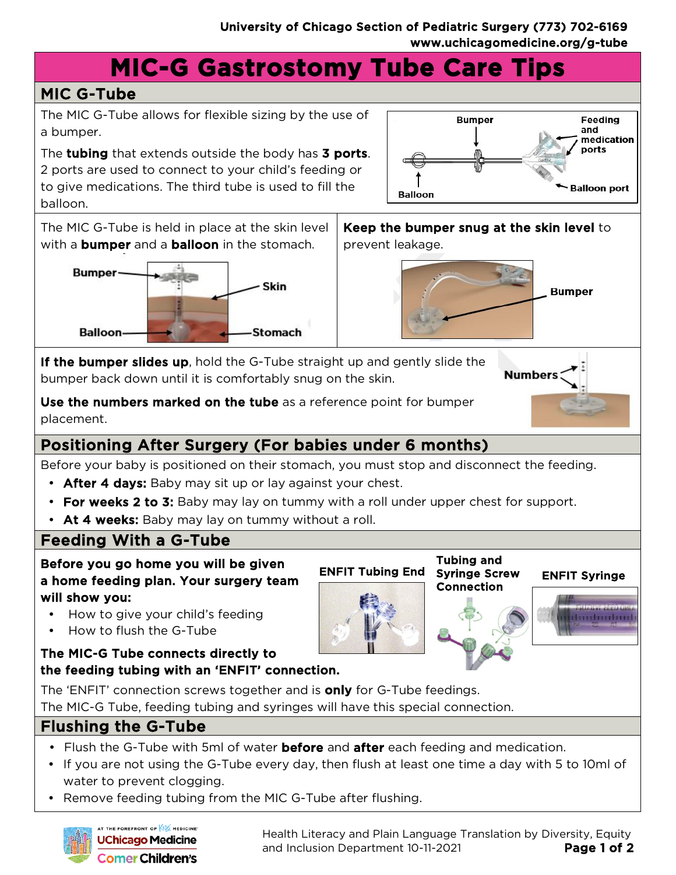**Balloon** 

# **MIC-G Gastrostomy Tube Care Tips**

## MIC G-Tube

The MIC G-Tube allows for flexible sizing by the use of a bumper.

The tubing that extends outside the body has 3 ports. 2 ports are used to connect to your child's feeding or to give medications. The third tube is used to fill the balloon.







**Bumper** 

Feeding and medication ports

**Balloon port** 

**Immunition** 



**Numbers** 

ENFIT Tubing End Syringe Screw ENFIT Syringe Tubing and Syringe Screw Connection

**If the bumper slides up**, hold the G-Tube straight up and gently slide the bumper back down until it is comfortably snug on the skin.

Use the numbers marked on the tube as a reference point for bumper placement.

## Positioning After Surgery (For babies under 6 months)

Before your baby is positioned on their stomach, you must stop and disconnect the feeding.

- After 4 days: Baby may sit up or lay against your chest.
- For weeks 2 to 3: Baby may lay on tummy with a roll under upper chest for support.
- At 4 weeks: Baby may lay on tummy without a roll.

### Feeding With a G-Tube

Before you go home you will be given a home feeding plan. Your surgery team will show you:

- How to give your child's feeding
- How to flush the G-Tube

#### The MIC-G Tube connects directly to the feeding tubing with an 'ENFIT' connection.

The 'ENFIT' connection screws together and is **only** for G-Tube feedings. The MIC-G Tube, feeding tubing and syringes will have this special connection.

#### Flushing the G-Tube

- Flush the G-Tube with 5ml of water **before** and **after** each feeding and medication.
- If you are not using the G-Tube every day, then flush at least one time a day with 5 to 10ml of water to prevent clogging.
- Remove feeding tubing from the MIC G-Tube after flushing.